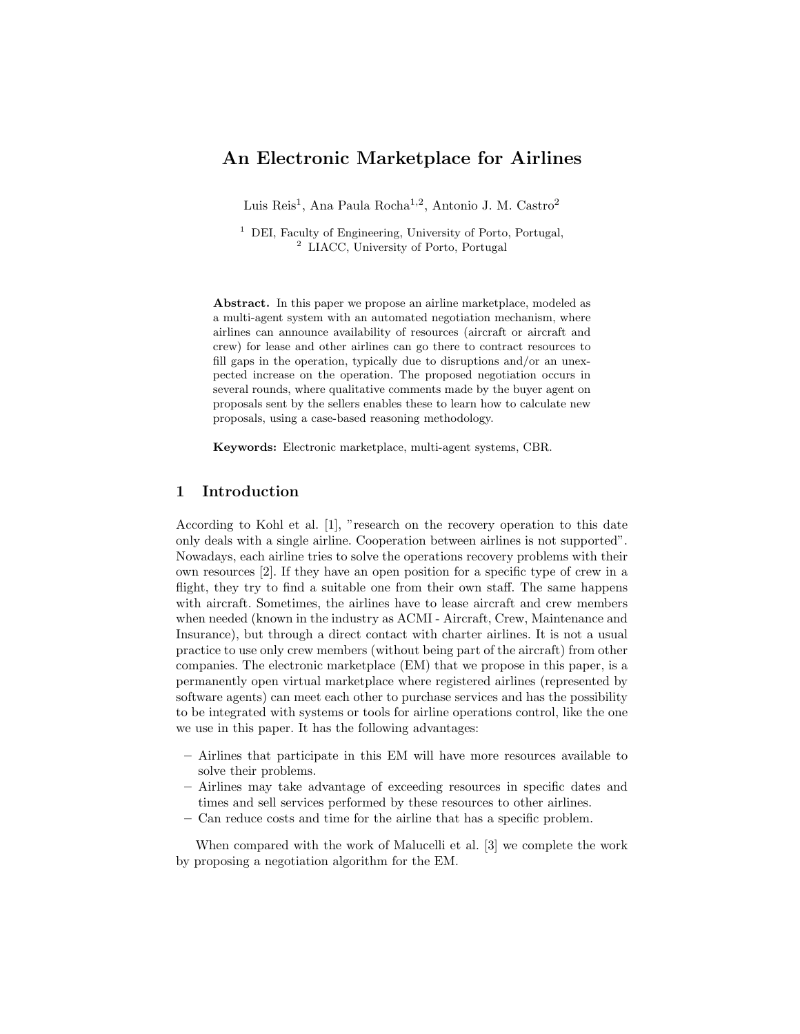# An Electronic Marketplace for Airlines

Luis Reis<sup>1</sup>, Ana Paula Rocha<sup>1,2</sup>, Antonio J. M. Castro<sup>2</sup>

 $<sup>1</sup>$  DEI, Faculty of Engineering, University of Porto, Portugal,</sup> <sup>2</sup> LIACC, University of Porto, Portugal

Abstract. In this paper we propose an airline marketplace, modeled as a multi-agent system with an automated negotiation mechanism, where airlines can announce availability of resources (aircraft or aircraft and crew) for lease and other airlines can go there to contract resources to fill gaps in the operation, typically due to disruptions and/or an unexpected increase on the operation. The proposed negotiation occurs in several rounds, where qualitative comments made by the buyer agent on proposals sent by the sellers enables these to learn how to calculate new proposals, using a case-based reasoning methodology.

Keywords: Electronic marketplace, multi-agent systems, CBR.

## 1 Introduction

According to Kohl et al. [1], "research on the recovery operation to this date only deals with a single airline. Cooperation between airlines is not supported". Nowadays, each airline tries to solve the operations recovery problems with their own resources [2]. If they have an open position for a specific type of crew in a flight, they try to find a suitable one from their own staff. The same happens with aircraft. Sometimes, the airlines have to lease aircraft and crew members when needed (known in the industry as ACMI - Aircraft, Crew, Maintenance and Insurance), but through a direct contact with charter airlines. It is not a usual practice to use only crew members (without being part of the aircraft) from other companies. The electronic marketplace (EM) that we propose in this paper, is a permanently open virtual marketplace where registered airlines (represented by software agents) can meet each other to purchase services and has the possibility to be integrated with systems or tools for airline operations control, like the one we use in this paper. It has the following advantages:

- Airlines that participate in this EM will have more resources available to solve their problems.
- Airlines may take advantage of exceeding resources in specific dates and times and sell services performed by these resources to other airlines.
- Can reduce costs and time for the airline that has a specific problem.

When compared with the work of Malucelli et al. [3] we complete the work by proposing a negotiation algorithm for the EM.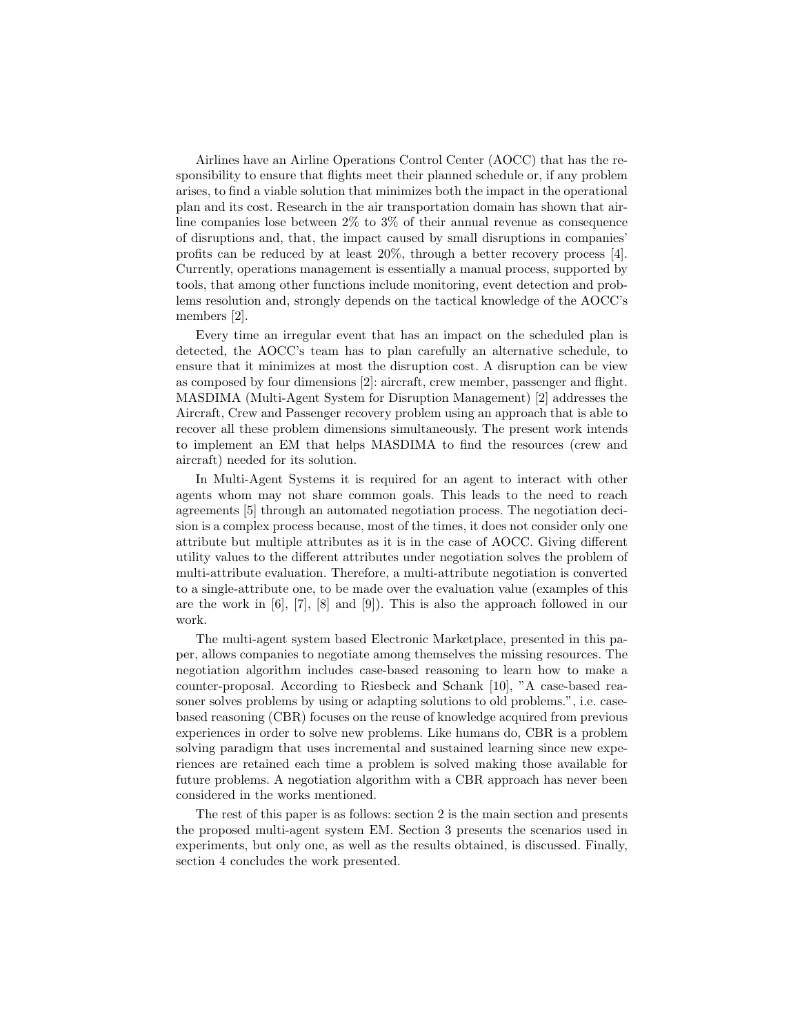Airlines have an Airline Operations Control Center (AOCC) that has the responsibility to ensure that flights meet their planned schedule or, if any problem arises, to find a viable solution that minimizes both the impact in the operational plan and its cost. Research in the air transportation domain has shown that airline companies lose between 2% to 3% of their annual revenue as consequence of disruptions and, that, the impact caused by small disruptions in companies' profits can be reduced by at least 20%, through a better recovery process [4]. Currently, operations management is essentially a manual process, supported by tools, that among other functions include monitoring, event detection and problems resolution and, strongly depends on the tactical knowledge of the AOCC's members [2].

Every time an irregular event that has an impact on the scheduled plan is detected, the AOCC's team has to plan carefully an alternative schedule, to ensure that it minimizes at most the disruption cost. A disruption can be view as composed by four dimensions [2]: aircraft, crew member, passenger and flight. MASDIMA (Multi-Agent System for Disruption Management) [2] addresses the Aircraft, Crew and Passenger recovery problem using an approach that is able to recover all these problem dimensions simultaneously. The present work intends to implement an EM that helps MASDIMA to find the resources (crew and aircraft) needed for its solution.

In Multi-Agent Systems it is required for an agent to interact with other agents whom may not share common goals. This leads to the need to reach agreements [5] through an automated negotiation process. The negotiation decision is a complex process because, most of the times, it does not consider only one attribute but multiple attributes as it is in the case of AOCC. Giving different utility values to the different attributes under negotiation solves the problem of multi-attribute evaluation. Therefore, a multi-attribute negotiation is converted to a single-attribute one, to be made over the evaluation value (examples of this are the work in [6], [7], [8] and [9]). This is also the approach followed in our work.

The multi-agent system based Electronic Marketplace, presented in this paper, allows companies to negotiate among themselves the missing resources. The negotiation algorithm includes case-based reasoning to learn how to make a counter-proposal. According to Riesbeck and Schank [10], "A case-based reasoner solves problems by using or adapting solutions to old problems.", i.e. casebased reasoning (CBR) focuses on the reuse of knowledge acquired from previous experiences in order to solve new problems. Like humans do, CBR is a problem solving paradigm that uses incremental and sustained learning since new experiences are retained each time a problem is solved making those available for future problems. A negotiation algorithm with a CBR approach has never been considered in the works mentioned.

The rest of this paper is as follows: section 2 is the main section and presents the proposed multi-agent system EM. Section 3 presents the scenarios used in experiments, but only one, as well as the results obtained, is discussed. Finally, section 4 concludes the work presented.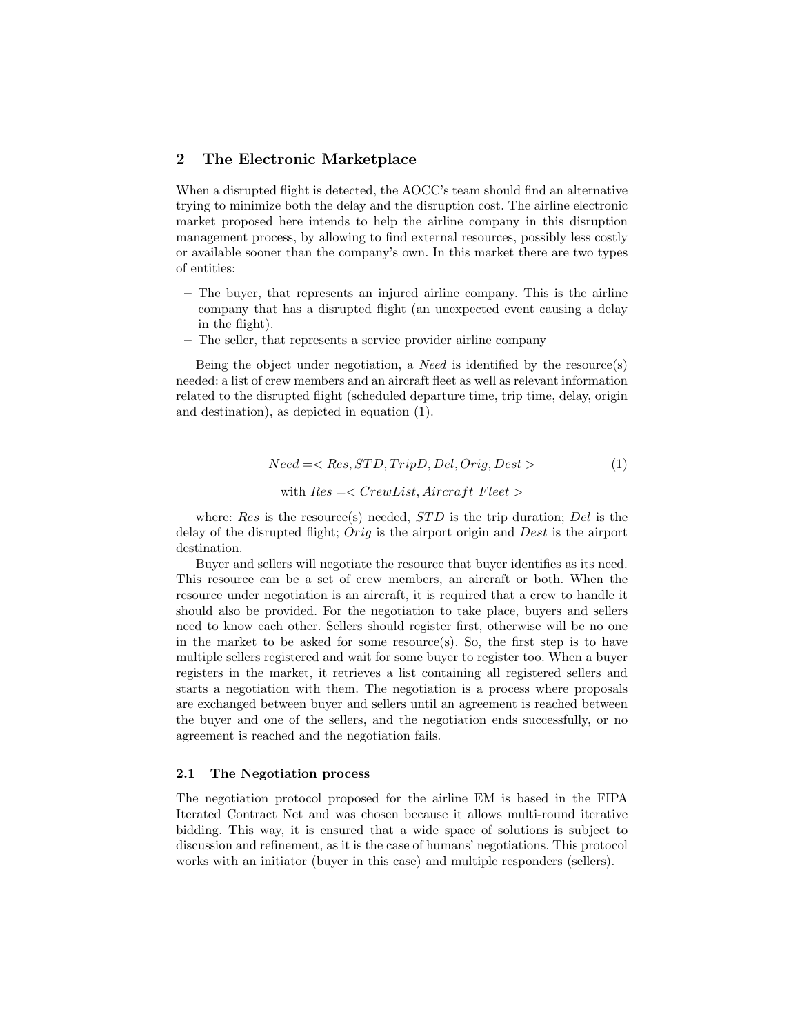## 2 The Electronic Marketplace

When a disrupted flight is detected, the AOCC's team should find an alternative trying to minimize both the delay and the disruption cost. The airline electronic market proposed here intends to help the airline company in this disruption management process, by allowing to find external resources, possibly less costly or available sooner than the company's own. In this market there are two types of entities:

- The buyer, that represents an injured airline company. This is the airline company that has a disrupted flight (an unexpected event causing a delay in the flight).
- The seller, that represents a service provider airline company

Being the object under negotiation, a *Need* is identified by the resource(s) needed: a list of crew members and an aircraft fleet as well as relevant information related to the disrupted flight (scheduled departure time, trip time, delay, origin and destination), as depicted in equation (1).

$$
Need =
$$
 (1)

## with  $Res = \langle \text{CrewList}, \text{Aircraft\_Fleet} \rangle$

where: Res is the resource(s) needed,  $STD$  is the trip duration; Del is the delay of the disrupted flight; *Orig* is the airport origin and *Dest* is the airport destination.

Buyer and sellers will negotiate the resource that buyer identifies as its need. This resource can be a set of crew members, an aircraft or both. When the resource under negotiation is an aircraft, it is required that a crew to handle it should also be provided. For the negotiation to take place, buyers and sellers need to know each other. Sellers should register first, otherwise will be no one in the market to be asked for some resource(s). So, the first step is to have multiple sellers registered and wait for some buyer to register too. When a buyer registers in the market, it retrieves a list containing all registered sellers and starts a negotiation with them. The negotiation is a process where proposals are exchanged between buyer and sellers until an agreement is reached between the buyer and one of the sellers, and the negotiation ends successfully, or no agreement is reached and the negotiation fails.

#### 2.1 The Negotiation process

The negotiation protocol proposed for the airline EM is based in the FIPA Iterated Contract Net and was chosen because it allows multi-round iterative bidding. This way, it is ensured that a wide space of solutions is subject to discussion and refinement, as it is the case of humans' negotiations. This protocol works with an initiator (buyer in this case) and multiple responders (sellers).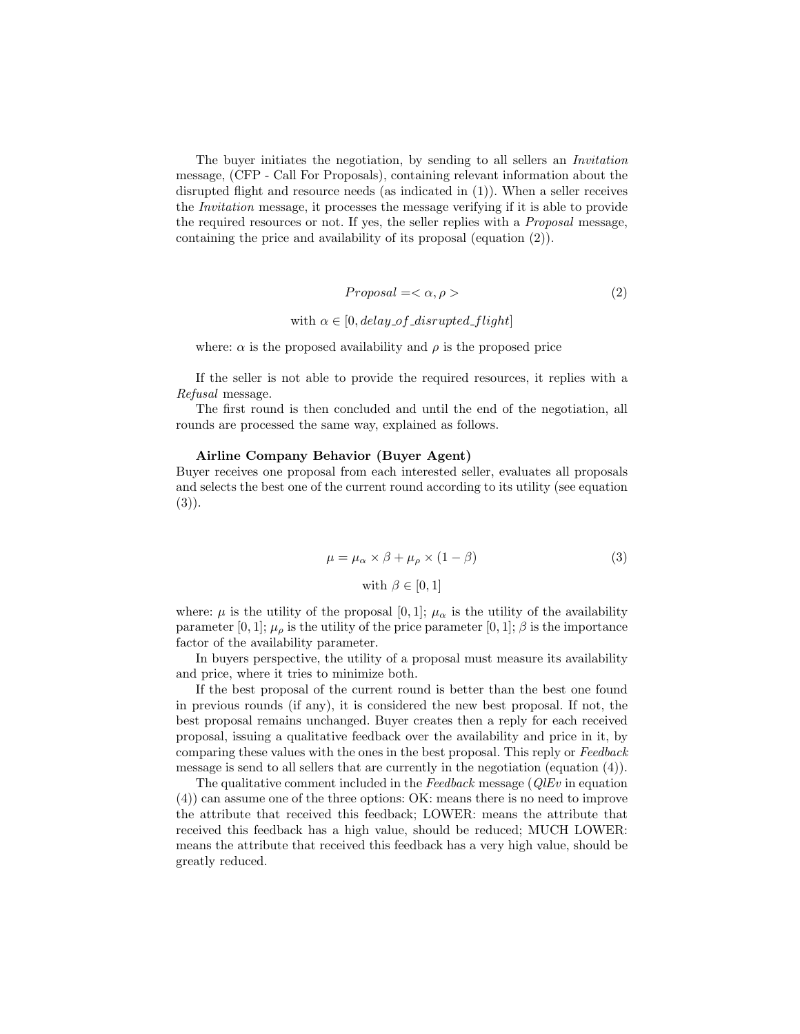The buyer initiates the negotiation, by sending to all sellers an *Invitation* message, (CFP - Call For Proposals), containing relevant information about the disrupted flight and resource needs (as indicated in (1)). When a seller receives the Invitation message, it processes the message verifying if it is able to provide the required resources or not. If yes, the seller replies with a Proposal message, containing the price and availability of its proposal (equation (2)).

$$
Proposal = <\alpha, \rho> \tag{2}
$$

with  $\alpha \in [0, delay\_of\_disrupted\_flight]$ 

where:  $\alpha$  is the proposed availability and  $\rho$  is the proposed price

If the seller is not able to provide the required resources, it replies with a Refusal message.

The first round is then concluded and until the end of the negotiation, all rounds are processed the same way, explained as follows.

#### Airline Company Behavior (Buyer Agent)

Buyer receives one proposal from each interested seller, evaluates all proposals and selects the best one of the current round according to its utility (see equation  $(3)$ .

$$
\mu = \mu_{\alpha} \times \beta + \mu_{\rho} \times (1 - \beta)
$$
  
with  $\beta \in [0, 1]$  (3)

where:  $\mu$  is the utility of the proposal [0, 1];  $\mu_{\alpha}$  is the utility of the availability parameter [0, 1];  $\mu_{\rho}$  is the utility of the price parameter [0, 1];  $\beta$  is the importance factor of the availability parameter.

In buyers perspective, the utility of a proposal must measure its availability and price, where it tries to minimize both.

If the best proposal of the current round is better than the best one found in previous rounds (if any), it is considered the new best proposal. If not, the best proposal remains unchanged. Buyer creates then a reply for each received proposal, issuing a qualitative feedback over the availability and price in it, by comparing these values with the ones in the best proposal. This reply or Feedback message is send to all sellers that are currently in the negotiation (equation (4)).

The qualitative comment included in the Feedback message  $(QIEv$  in equation (4)) can assume one of the three options: OK: means there is no need to improve the attribute that received this feedback; LOWER: means the attribute that received this feedback has a high value, should be reduced; MUCH LOWER: means the attribute that received this feedback has a very high value, should be greatly reduced.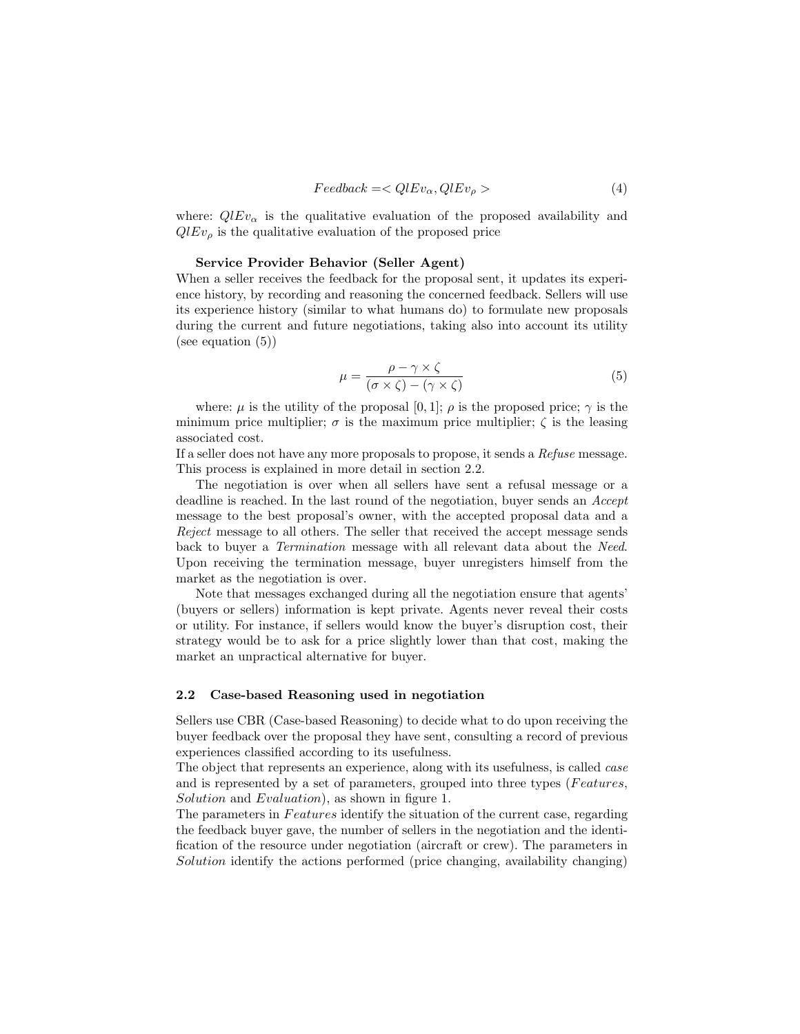$$
Feedback =  \tag{4}
$$

where:  $Q/Ev_{\alpha}$  is the qualitative evaluation of the proposed availability and  $QIEv<sub>o</sub>$  is the qualitative evaluation of the proposed price

#### Service Provider Behavior (Seller Agent)

When a seller receives the feedback for the proposal sent, it updates its experience history, by recording and reasoning the concerned feedback. Sellers will use its experience history (similar to what humans do) to formulate new proposals during the current and future negotiations, taking also into account its utility (see equation (5))

$$
\mu = \frac{\rho - \gamma \times \zeta}{(\sigma \times \zeta) - (\gamma \times \zeta)}\tag{5}
$$

where:  $\mu$  is the utility of the proposal [0, 1];  $\rho$  is the proposed price;  $\gamma$  is the minimum price multiplier;  $\sigma$  is the maximum price multiplier;  $\zeta$  is the leasing associated cost.

If a seller does not have any more proposals to propose, it sends a Refuse message. This process is explained in more detail in section 2.2.

The negotiation is over when all sellers have sent a refusal message or a deadline is reached. In the last round of the negotiation, buyer sends an Accept message to the best proposal's owner, with the accepted proposal data and a Reject message to all others. The seller that received the accept message sends back to buyer a *Termination* message with all relevant data about the *Need*. Upon receiving the termination message, buyer unregisters himself from the market as the negotiation is over.

Note that messages exchanged during all the negotiation ensure that agents' (buyers or sellers) information is kept private. Agents never reveal their costs or utility. For instance, if sellers would know the buyer's disruption cost, their strategy would be to ask for a price slightly lower than that cost, making the market an unpractical alternative for buyer.

#### 2.2 Case-based Reasoning used in negotiation

Sellers use CBR (Case-based Reasoning) to decide what to do upon receiving the buyer feedback over the proposal they have sent, consulting a record of previous experiences classified according to its usefulness.

The object that represents an experience, along with its usefulness, is called *case* and is represented by a set of parameters, grouped into three types ( $Features$ , Solution and Evaluation), as shown in figure 1.

The parameters in Features identify the situation of the current case, regarding the feedback buyer gave, the number of sellers in the negotiation and the identification of the resource under negotiation (aircraft or crew). The parameters in Solution identify the actions performed (price changing, availability changing)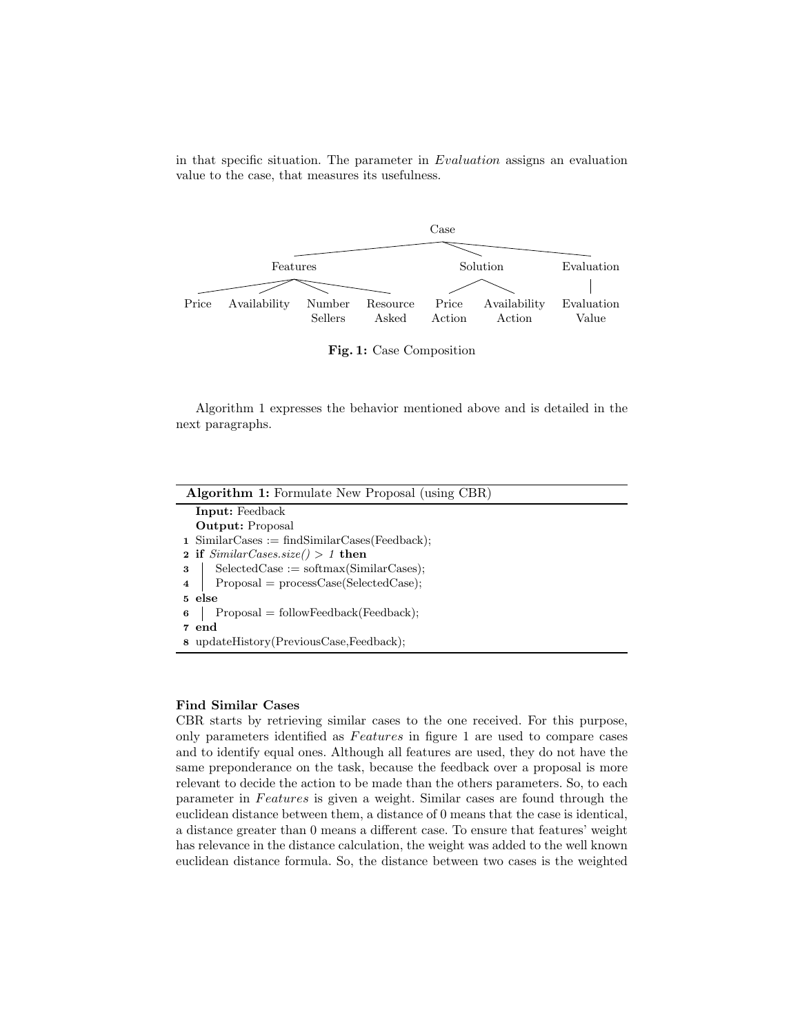in that specific situation. The parameter in Evaluation assigns an evaluation value to the case, that measures its usefulness.



Fig. 1: Case Composition

Algorithm 1 expresses the behavior mentioned above and is detailed in the next paragraphs.

| <b>Algorithm 1:</b> Formulate New Proposal (using CBR)        |  |  |  |
|---------------------------------------------------------------|--|--|--|
| <b>Input:</b> Feedback                                        |  |  |  |
| <b>Output:</b> Proposal                                       |  |  |  |
| 1 SimilarCases := $findSimilarCases(Feedback);$               |  |  |  |
| <b>2</b> if $Similar Cases.size() > 1$ then                   |  |  |  |
| $SelectedCase := softmax(Similar Cases);$<br>3                |  |  |  |
| $Proposal = processCase(SelectedCase);$<br>$\overline{\bf 4}$ |  |  |  |
| 5 else                                                        |  |  |  |
| $Proposal = followFeedback(Feedback);$<br>6                   |  |  |  |
| 7 end                                                         |  |  |  |
| 8 updateHistory(PreviousCase,Feedback);                       |  |  |  |

### Find Similar Cases

CBR starts by retrieving similar cases to the one received. For this purpose, only parameters identified as Features in figure 1 are used to compare cases and to identify equal ones. Although all features are used, they do not have the same preponderance on the task, because the feedback over a proposal is more relevant to decide the action to be made than the others parameters. So, to each parameter in Features is given a weight. Similar cases are found through the euclidean distance between them, a distance of 0 means that the case is identical, a distance greater than 0 means a different case. To ensure that features' weight has relevance in the distance calculation, the weight was added to the well known euclidean distance formula. So, the distance between two cases is the weighted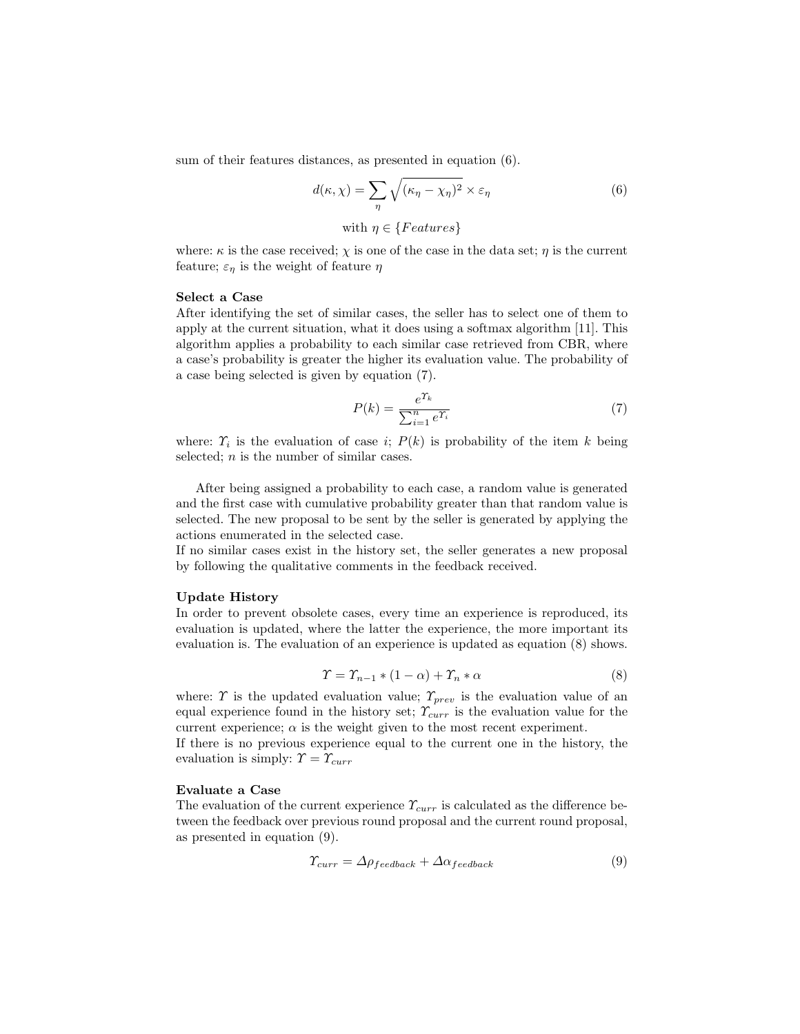sum of their features distances, as presented in equation (6).

$$
d(\kappa, \chi) = \sum_{\eta} \sqrt{(\kappa_{\eta} - \chi_{\eta})^2} \times \varepsilon_{\eta}
$$
  
with  $\eta \in \{Features\}$  (6)

where:  $\kappa$  is the case received;  $\chi$  is one of the case in the data set;  $\eta$  is the current feature;  $\varepsilon_{\eta}$  is the weight of feature  $\eta$ 

#### Select a Case

After identifying the set of similar cases, the seller has to select one of them to apply at the current situation, what it does using a softmax algorithm [11]. This algorithm applies a probability to each similar case retrieved from CBR, where a case's probability is greater the higher its evaluation value. The probability of a case being selected is given by equation (7).

$$
P(k) = \frac{e^{\Upsilon_k}}{\sum_{i=1}^n e^{\Upsilon_i}}\tag{7}
$$

where:  $\hat{\mathcal{Y}}_i$  is the evaluation of case i;  $P(k)$  is probability of the item k being selected; n is the number of similar cases.

After being assigned a probability to each case, a random value is generated and the first case with cumulative probability greater than that random value is selected. The new proposal to be sent by the seller is generated by applying the actions enumerated in the selected case.

If no similar cases exist in the history set, the seller generates a new proposal by following the qualitative comments in the feedback received.

#### Update History

In order to prevent obsolete cases, every time an experience is reproduced, its evaluation is updated, where the latter the experience, the more important its evaluation is. The evaluation of an experience is updated as equation (8) shows.

$$
\Upsilon = \Upsilon_{n-1} * (1 - \alpha) + \Upsilon_n * \alpha \tag{8}
$$

where:  $\Upsilon$  is the updated evaluation value;  $\Upsilon_{prev}$  is the evaluation value of an equal experience found in the history set;  $\mathcal{T}_{curr}$  is the evaluation value for the current experience;  $\alpha$  is the weight given to the most recent experiment.

If there is no previous experience equal to the current one in the history, the evaluation is simply:  $\Upsilon = \Upsilon_{curr}$ 

#### Evaluate a Case

The evaluation of the current experience  $\Upsilon_{curr}$  is calculated as the difference between the feedback over previous round proposal and the current round proposal, as presented in equation (9).

$$
\Upsilon_{curr} = \Delta \rho_{feedback} + \Delta \alpha_{feedback} \tag{9}
$$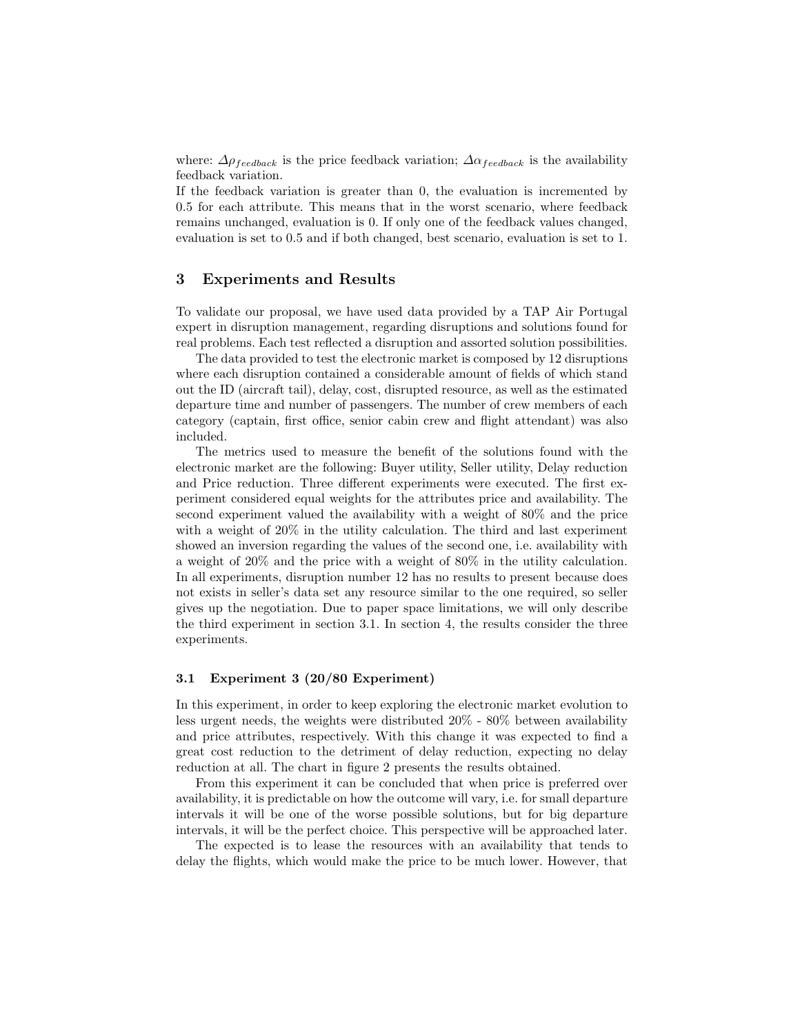where:  $\Delta \rho_{feedback}$  is the price feedback variation;  $\Delta \alpha_{feedback}$  is the availability feedback variation.

If the feedback variation is greater than 0, the evaluation is incremented by 0.5 for each attribute. This means that in the worst scenario, where feedback remains unchanged, evaluation is 0. If only one of the feedback values changed, evaluation is set to 0.5 and if both changed, best scenario, evaluation is set to 1.

## 3 Experiments and Results

To validate our proposal, we have used data provided by a TAP Air Portugal expert in disruption management, regarding disruptions and solutions found for real problems. Each test reflected a disruption and assorted solution possibilities.

The data provided to test the electronic market is composed by 12 disruptions where each disruption contained a considerable amount of fields of which stand out the ID (aircraft tail), delay, cost, disrupted resource, as well as the estimated departure time and number of passengers. The number of crew members of each category (captain, first office, senior cabin crew and flight attendant) was also included.

The metrics used to measure the benefit of the solutions found with the electronic market are the following: Buyer utility, Seller utility, Delay reduction and Price reduction. Three different experiments were executed. The first experiment considered equal weights for the attributes price and availability. The second experiment valued the availability with a weight of 80% and the price with a weight of 20% in the utility calculation. The third and last experiment showed an inversion regarding the values of the second one, i.e. availability with a weight of 20% and the price with a weight of 80% in the utility calculation. In all experiments, disruption number 12 has no results to present because does not exists in seller's data set any resource similar to the one required, so seller gives up the negotiation. Due to paper space limitations, we will only describe the third experiment in section 3.1. In section 4, the results consider the three experiments.

#### 3.1 Experiment 3 (20/80 Experiment)

In this experiment, in order to keep exploring the electronic market evolution to less urgent needs, the weights were distributed 20% - 80% between availability and price attributes, respectively. With this change it was expected to find a great cost reduction to the detriment of delay reduction, expecting no delay reduction at all. The chart in figure 2 presents the results obtained.

From this experiment it can be concluded that when price is preferred over availability, it is predictable on how the outcome will vary, i.e. for small departure intervals it will be one of the worse possible solutions, but for big departure intervals, it will be the perfect choice. This perspective will be approached later.

The expected is to lease the resources with an availability that tends to delay the flights, which would make the price to be much lower. However, that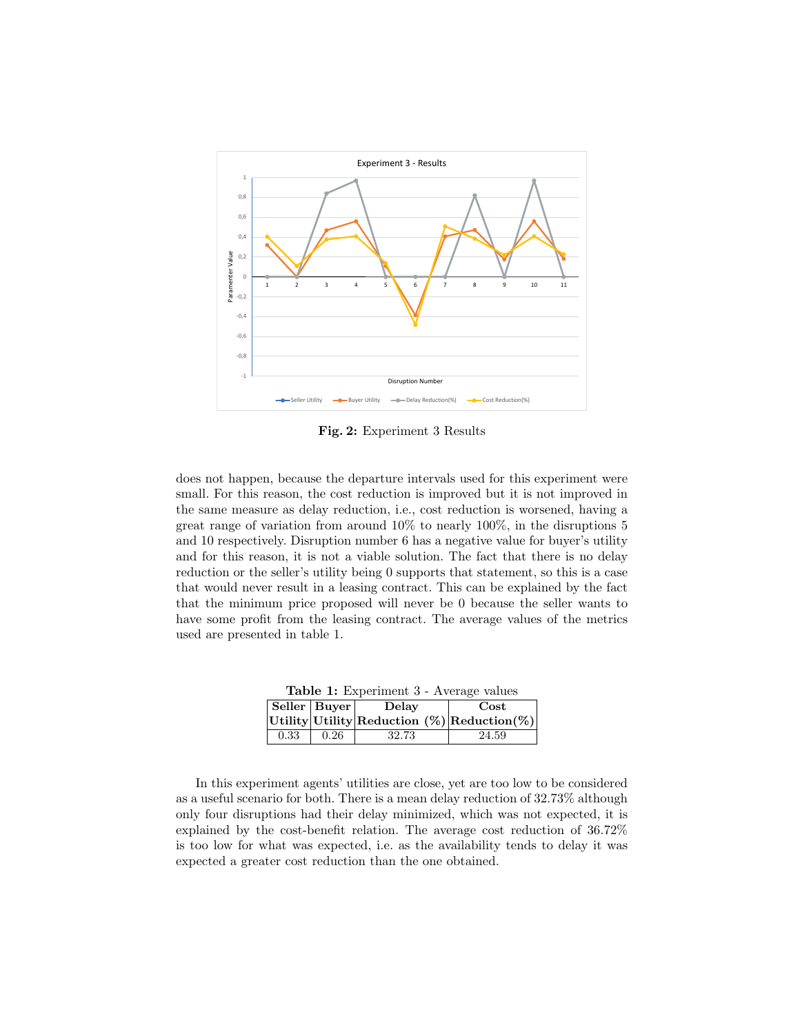

Fig. 2: Experiment 3 Results

does not happen, because the departure intervals used for this experiment were small. For this reason, the cost reduction is improved but it is not improved in the same measure as delay reduction, i.e., cost reduction is worsened, having a great range of variation from around 10% to nearly 100%, in the disruptions 5 and 10 respectively. Disruption number 6 has a negative value for buyer's utility and for this reason, it is not a viable solution. The fact that there is no delay reduction or the seller's utility being 0 supports that statement, so this is a case that would never result in a leasing contract. This can be explained by the fact that the minimum price proposed will never be 0 because the seller wants to have some profit from the leasing contract. The average values of the metrics used are presented in table 1.

Table 1: Experiment 3 - Average values

|      | Seller   Buyer | Delay                                             | .<br>Cost |
|------|----------------|---------------------------------------------------|-----------|
|      |                | $ Utility Utility Reduction (\%) Reduction (\%) $ |           |
| 0.33 | 0.26           | 32.73                                             | 24.59     |

In this experiment agents' utilities are close, yet are too low to be considered as a useful scenario for both. There is a mean delay reduction of 32.73% although only four disruptions had their delay minimized, which was not expected, it is explained by the cost-benefit relation. The average cost reduction of 36.72% is too low for what was expected, i.e. as the availability tends to delay it was expected a greater cost reduction than the one obtained.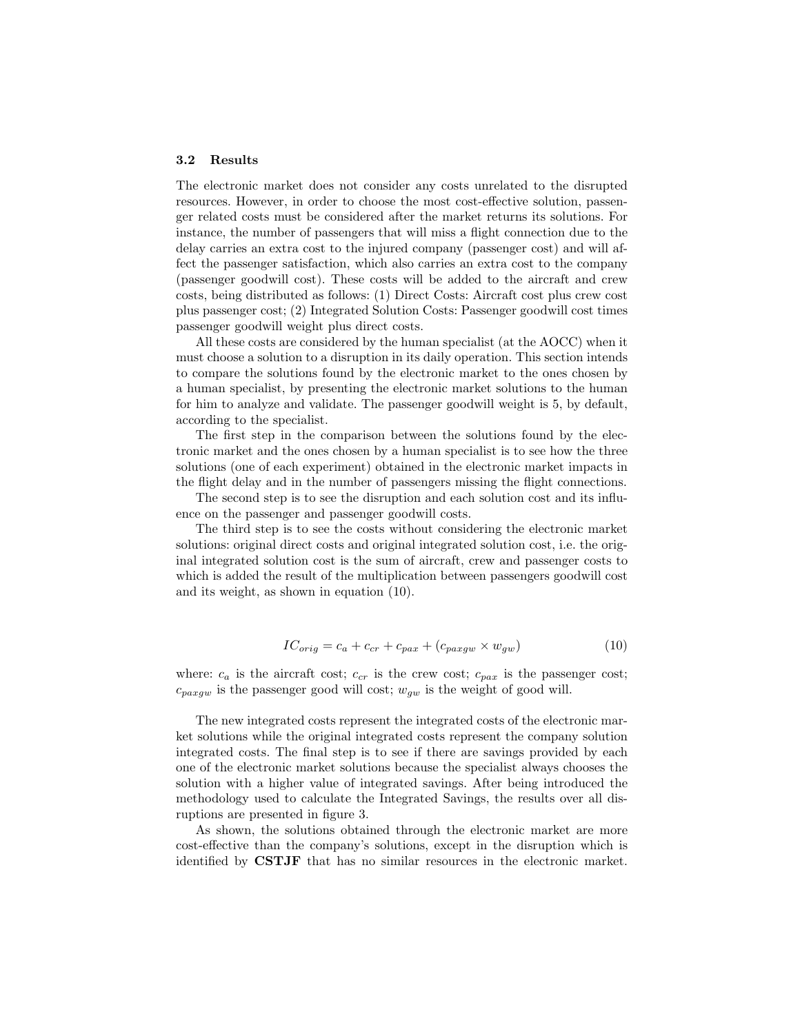#### 3.2 Results

The electronic market does not consider any costs unrelated to the disrupted resources. However, in order to choose the most cost-effective solution, passenger related costs must be considered after the market returns its solutions. For instance, the number of passengers that will miss a flight connection due to the delay carries an extra cost to the injured company (passenger cost) and will affect the passenger satisfaction, which also carries an extra cost to the company (passenger goodwill cost). These costs will be added to the aircraft and crew costs, being distributed as follows: (1) Direct Costs: Aircraft cost plus crew cost plus passenger cost; (2) Integrated Solution Costs: Passenger goodwill cost times passenger goodwill weight plus direct costs.

All these costs are considered by the human specialist (at the AOCC) when it must choose a solution to a disruption in its daily operation. This section intends to compare the solutions found by the electronic market to the ones chosen by a human specialist, by presenting the electronic market solutions to the human for him to analyze and validate. The passenger goodwill weight is 5, by default, according to the specialist.

The first step in the comparison between the solutions found by the electronic market and the ones chosen by a human specialist is to see how the three solutions (one of each experiment) obtained in the electronic market impacts in the flight delay and in the number of passengers missing the flight connections.

The second step is to see the disruption and each solution cost and its influence on the passenger and passenger goodwill costs.

The third step is to see the costs without considering the electronic market solutions: original direct costs and original integrated solution cost, i.e. the original integrated solution cost is the sum of aircraft, crew and passenger costs to which is added the result of the multiplication between passengers goodwill cost and its weight, as shown in equation (10).

$$
IC_{orig} = c_a + c_{cr} + c_{pax} + (c_{paxyw} \times w_{gw})
$$
\n<sup>(10)</sup>

where:  $c_a$  is the aircraft cost;  $c_{cr}$  is the crew cost;  $c_{pax}$  is the passenger cost;  $c_{\text{paxqw}}$  is the passenger good will cost;  $w_{\text{qw}}$  is the weight of good will.

The new integrated costs represent the integrated costs of the electronic market solutions while the original integrated costs represent the company solution integrated costs. The final step is to see if there are savings provided by each one of the electronic market solutions because the specialist always chooses the solution with a higher value of integrated savings. After being introduced the methodology used to calculate the Integrated Savings, the results over all disruptions are presented in figure 3.

As shown, the solutions obtained through the electronic market are more cost-effective than the company's solutions, except in the disruption which is identified by CSTJF that has no similar resources in the electronic market.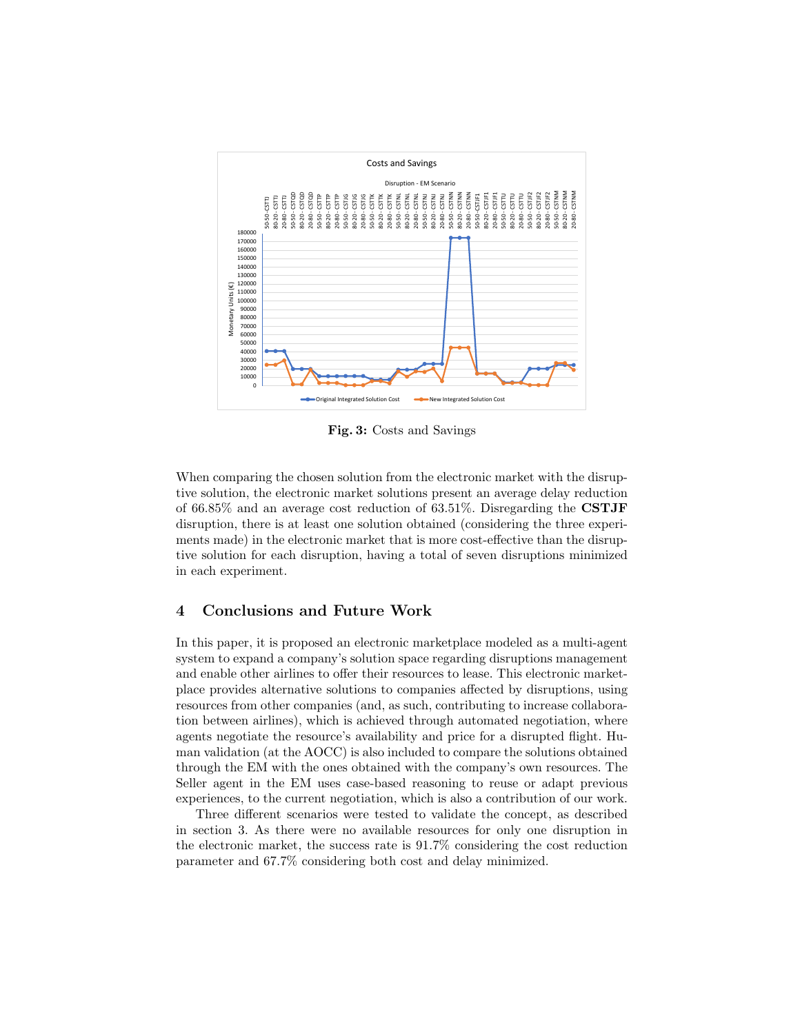

Fig. 3: Costs and Savings

When comparing the chosen solution from the electronic market with the disruptive solution, the electronic market solutions present an average delay reduction of 66.85% and an average cost reduction of 63.51%. Disregarding the CSTJF disruption, there is at least one solution obtained (considering the three experiments made) in the electronic market that is more cost-effective than the disruptive solution for each disruption, having a total of seven disruptions minimized in each experiment.

## 4 Conclusions and Future Work

In this paper, it is proposed an electronic marketplace modeled as a multi-agent system to expand a company's solution space regarding disruptions management and enable other airlines to offer their resources to lease. This electronic marketplace provides alternative solutions to companies affected by disruptions, using resources from other companies (and, as such, contributing to increase collaboration between airlines), which is achieved through automated negotiation, where agents negotiate the resource's availability and price for a disrupted flight. Human validation (at the AOCC) is also included to compare the solutions obtained through the EM with the ones obtained with the company's own resources. The Seller agent in the EM uses case-based reasoning to reuse or adapt previous experiences, to the current negotiation, which is also a contribution of our work.

Three different scenarios were tested to validate the concept, as described in section 3. As there were no available resources for only one disruption in the electronic market, the success rate is 91.7% considering the cost reduction parameter and 67.7% considering both cost and delay minimized.